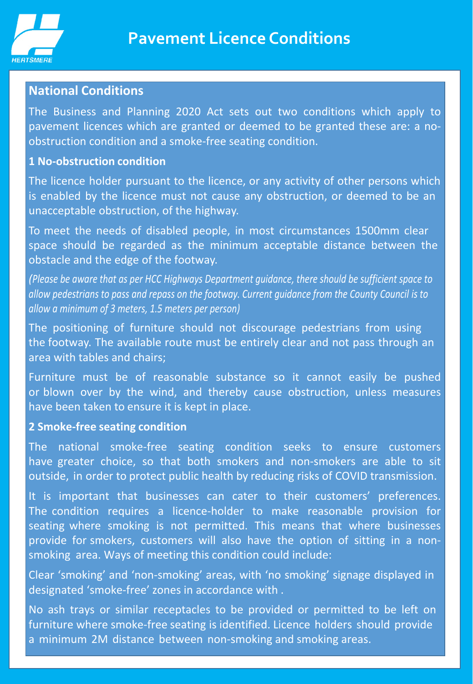

# **National Conditions**

The Business and Planning 2020 Act sets out two conditions which apply to pavement licences which are granted or deemed to be granted these are: a noobstruction condition and a smoke-free seating condition.

#### **1 No-obstruction condition**

The licence holder pursuant to the licence, or any activity of other persons which is enabled by the licence must not cause any obstruction, or deemed to be an unacceptable obstruction, of the highway.

To meet the needs of disabled people, in most circumstances 1500mm clear space should be regarded as the minimum acceptable distance between the obstacle and the edge of the footway.

*(Please be aware that as per HCC Highways Department guidance, there should be sufficient space to allow pedestrians to pass and repass on the footway. Current guidance from the County Council is to allow a minimum of 3 meters, 1.5 meters per person)*

The positioning of furniture should not discourage pedestrians from using the footway. The available route must be entirely clear and not pass through an area with tables and chairs;

Furniture must be of reasonable substance so it cannot easily be pushed or blown over by the wind, and thereby cause obstruction, unless measures have been taken to ensure it is kept in place.

### **2 Smoke-free seating condition**

The national smoke-free seating condition seeks to ensure customers have greater choice, so that both smokers and non-smokers are able to sit outside, in order to protect public health by reducing risks of COVID transmission.

It is important that businesses can cater to their customers' preferences. The condition requires a licence-holder to make reasonable provision for seating where smoking is not permitted. This means that where businesses provide for smokers, customers will also have the option of sitting in a nonsmoking area. Ways of meeting this condition could include:

Clear 'smoking' and 'non-smoking' areas, with 'no smoking' signage displayed in designated 'smoke-free' zones in accordance with .

No ash trays or similar receptacles to be provided or permitted to be left on furniture where smoke-free seating is identified. Licence holders should provide a minimum 2M distance between non-smoking and smoking areas.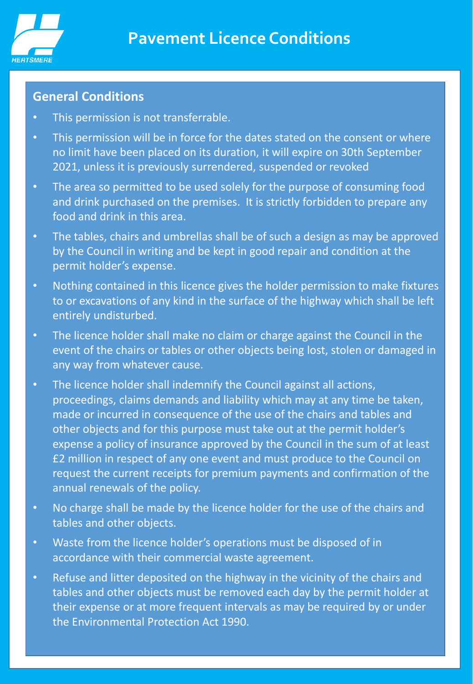

# **General Conditions**

- This permission is not transferrable.
- This permission will be in force for the dates stated on the consent or where no limit have been placed on its duration, it will expire on 30th September 2021, unless it is previously surrendered, suspended or revoked
- The area so permitted to be used solely for the purpose of consuming food and drink purchased on the premises. It is strictly forbidden to prepare any food and drink in this area.
- The tables, chairs and umbrellas shall be of such a design as may be approved by the Council in writing and be kept in good repair and condition at the permit holder's expense.
- Nothing contained in this licence gives the holder permission to make fixtures to or excavations of any kind in the surface of the highway which shall be left entirely undisturbed.
- The licence holder shall make no claim or charge against the Council in the event of the chairs or tables or other objects being lost, stolen or damaged in any way from whatever cause.
- The licence holder shall indemnify the Council against all actions, proceedings, claims demands and liability which may at any time be taken, made or incurred in consequence of the use of the chairs and tables and other objects and for this purpose must take out at the permit holder's expense a policy of insurance approved by the Council in the sum of at least £2 million in respect of any one event and must produce to the Council on request the current receipts for premium payments and confirmation of the annual renewals of the policy.
- No charge shall be made by the licence holder for the use of the chairs and tables and other objects.
- Waste from the licence holder's operations must be disposed of in accordance with their commercial waste agreement.
- Refuse and litter deposited on the highway in the vicinity of the chairs and tables and other objects must be removed each day by the permit holder at their expense or at more frequent intervals as may be required by or under the Environmental Protection Act 1990.